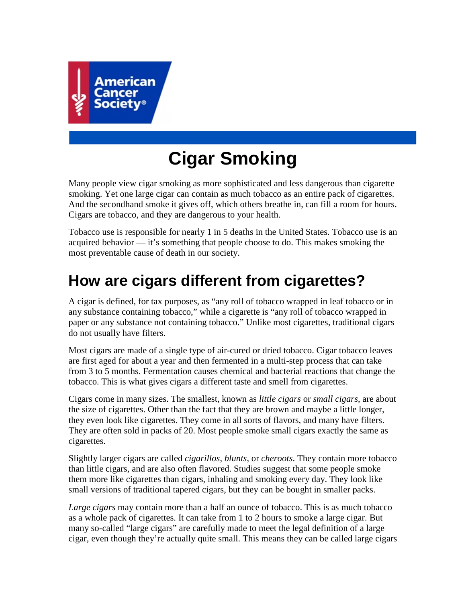

# **Cigar Smoking**

Many people view cigar smoking as more sophisticated and less dangerous than cigarette smoking. Yet one large cigar can contain as much tobacco as an entire pack of cigarettes. And the secondhand smoke it gives off, which others breathe in, can fill a room for hours. Cigars are tobacco, and they are dangerous to your health.

Tobacco use is responsible for nearly 1 in 5 deaths in the United States. Tobacco use is an acquired behavior — it's something that people choose to do. This makes smoking the most preventable cause of death in our society.

## **How are cigars different from cigarettes?**

A cigar is defined, for tax purposes, as "any roll of tobacco wrapped in leaf tobacco or in any substance containing tobacco," while a cigarette is "any roll of tobacco wrapped in paper or any substance not containing tobacco." Unlike most cigarettes, traditional cigars do not usually have filters.

Most cigars are made of a single type of air-cured or dried tobacco. Cigar tobacco leaves are first aged for about a year and then fermented in a multi-step process that can take from 3 to 5 months. Fermentation causes chemical and bacterial reactions that change the tobacco. This is what gives cigars a different taste and smell from cigarettes.

Cigars come in many sizes. The smallest, known as *little cigars* or *small cigars*, are about the size of cigarettes. Other than the fact that they are brown and maybe a little longer, they even look like cigarettes. They come in all sorts of flavors, and many have filters. They are often sold in packs of 20. Most people smoke small cigars exactly the same as cigarettes.

Slightly larger cigars are called *cigarillos*, *blunts*, or *cheroots*. They contain more tobacco than little cigars, and are also often flavored. Studies suggest that some people smoke them more like cigarettes than cigars, inhaling and smoking every day. They look like small versions of traditional tapered cigars, but they can be bought in smaller packs.

*Large cigars* may contain more than a half an ounce of tobacco. This is as much tobacco as a whole pack of cigarettes. It can take from 1 to 2 hours to smoke a large cigar. But many so-called "large cigars" are carefully made to meet the legal definition of a large cigar, even though they're actually quite small. This means they can be called large cigars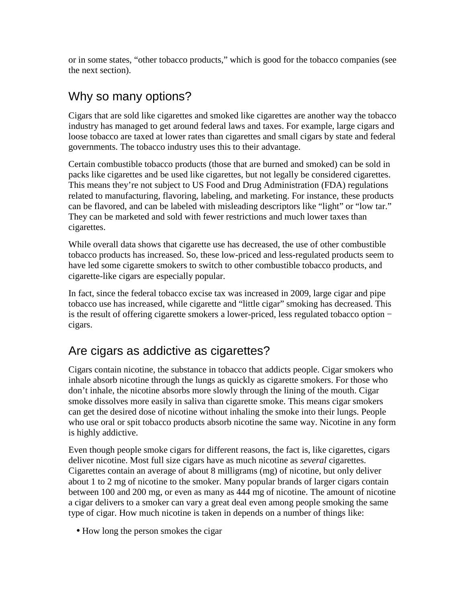or in some states, "other tobacco products," which is good for the tobacco companies (see the next section).

### Why so many options?

Cigars that are sold like cigarettes and smoked like cigarettes are another way the tobacco industry has managed to get around federal laws and taxes. For example, large cigars and loose tobacco are taxed at lower rates than cigarettes and small cigars by state and federal governments. The tobacco industry uses this to their advantage.

Certain combustible tobacco products (those that are burned and smoked) can be sold in packs like cigarettes and be used like cigarettes, but not legally be considered cigarettes. This means they're not subject to US Food and Drug Administration (FDA) regulations related to manufacturing, flavoring, labeling, and marketing. For instance, these products can be flavored, and can be labeled with misleading descriptors like "light" or "low tar." They can be marketed and sold with fewer restrictions and much lower taxes than cigarettes.

While overall data shows that cigarette use has decreased, the use of other combustible tobacco products has increased. So, these low-priced and less-regulated products seem to have led some cigarette smokers to switch to other combustible tobacco products, and cigarette-like cigars are especially popular.

In fact, since the federal tobacco excise tax was increased in 2009, large cigar and pipe tobacco use has increased, while cigarette and "little cigar" smoking has decreased. This is the result of offering cigarette smokers a lower-priced, less regulated tobacco option − cigars.

### Are cigars as addictive as cigarettes?

Cigars contain nicotine, the substance in tobacco that addicts people. Cigar smokers who inhale absorb nicotine through the lungs as quickly as cigarette smokers. For those who don't inhale, the nicotine absorbs more slowly through the lining of the mouth. Cigar smoke dissolves more easily in saliva than cigarette smoke. This means cigar smokers can get the desired dose of nicotine without inhaling the smoke into their lungs. People who use oral or spit tobacco products absorb nicotine the same way. Nicotine in any form is highly addictive.

Even though people smoke cigars for different reasons, the fact is, like cigarettes, cigars deliver nicotine. Most full size cigars have as much nicotine as *several* cigarettes. Cigarettes contain an average of about 8 milligrams (mg) of nicotine, but only deliver about 1 to 2 mg of nicotine to the smoker. Many popular brands of larger cigars contain between 100 and 200 mg, or even as many as 444 mg of nicotine. The amount of nicotine a cigar delivers to a smoker can vary a great deal even among people smoking the same type of cigar. How much nicotine is taken in depends on a number of things like:

• How long the person smokes the cigar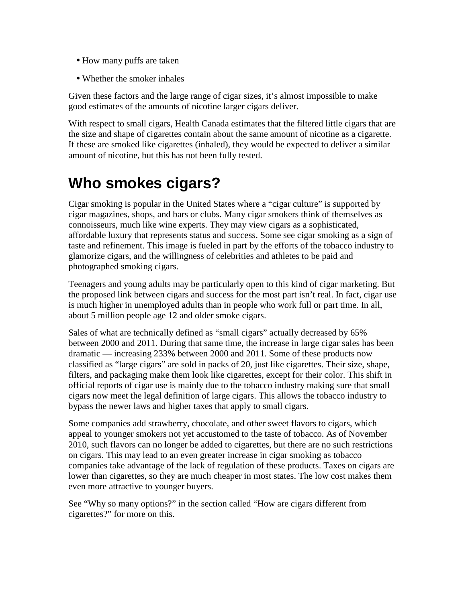- How many puffs are taken
- Whether the smoker inhales

Given these factors and the large range of cigar sizes, it's almost impossible to make good estimates of the amounts of nicotine larger cigars deliver.

With respect to small cigars, Health Canada estimates that the filtered little cigars that are the size and shape of cigarettes contain about the same amount of nicotine as a cigarette. If these are smoked like cigarettes (inhaled), they would be expected to deliver a similar amount of nicotine, but this has not been fully tested.

## **Who smokes cigars?**

Cigar smoking is popular in the United States where a "cigar culture" is supported by cigar magazines, shops, and bars or clubs. Many cigar smokers think of themselves as connoisseurs, much like wine experts. They may view cigars as a sophisticated, affordable luxury that represents status and success. Some see cigar smoking as a sign of taste and refinement. This image is fueled in part by the efforts of the tobacco industry to glamorize cigars, and the willingness of celebrities and athletes to be paid and photographed smoking cigars.

Teenagers and young adults may be particularly open to this kind of cigar marketing. But the proposed link between cigars and success for the most part isn't real. In fact, cigar use is much higher in unemployed adults than in people who work full or part time. In all, about 5 million people age 12 and older smoke cigars.

Sales of what are technically defined as "small cigars" actually decreased by 65% between 2000 and 2011. During that same time, the increase in large cigar sales has been dramatic — increasing 233% between 2000 and 2011. Some of these products now classified as "large cigars" are sold in packs of 20, just like cigarettes. Their size, shape, filters, and packaging make them look like cigarettes, except for their color. This shift in official reports of cigar use is mainly due to the tobacco industry making sure that small cigars now meet the legal definition of large cigars. This allows the tobacco industry to bypass the newer laws and higher taxes that apply to small cigars.

Some companies add strawberry, chocolate, and other sweet flavors to cigars, which appeal to younger smokers not yet accustomed to the taste of tobacco. As of November 2010, such flavors can no longer be added to cigarettes, but there are no such restrictions on cigars. This may lead to an even greater increase in cigar smoking as tobacco companies take advantage of the lack of regulation of these products. Taxes on cigars are lower than cigarettes, so they are much cheaper in most states. The low cost makes them even more attractive to younger buyers.

See "Why so many options?" in the section called "How are cigars different from cigarettes?" for more on this.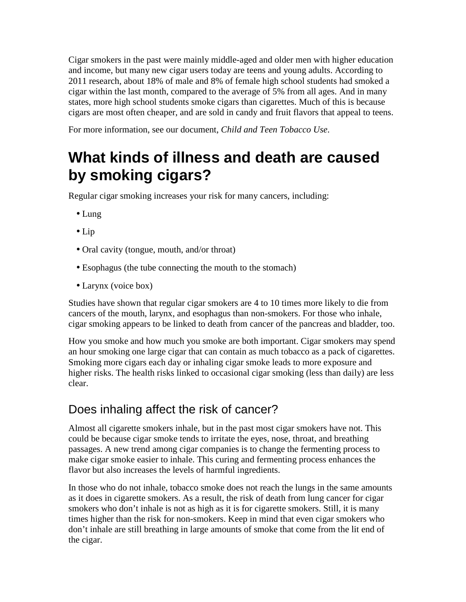Cigar smokers in the past were mainly middle-aged and older men with higher education and income, but many new cigar users today are teens and young adults. According to 2011 research, about 18% of male and 8% of female high school students had smoked a cigar within the last month, compared to the average of 5% from all ages. And in many states, more high school students smoke cigars than cigarettes. Much of this is because cigars are most often cheaper, and are sold in candy and fruit flavors that appeal to teens.

For more information, see our document, *Child and Teen Tobacco Use*.

## **What kinds of illness and death are caused by smoking cigars?**

Regular cigar smoking increases your risk for many cancers, including:

- Lung
- Lip
- Oral cavity (tongue, mouth, and/or throat)
- Esophagus (the tube connecting the mouth to the stomach)
- Larynx (voice box)

Studies have shown that regular cigar smokers are 4 to 10 times more likely to die from cancers of the mouth, larynx, and esophagus than non-smokers. For those who inhale, cigar smoking appears to be linked to death from cancer of the pancreas and bladder, too.

How you smoke and how much you smoke are both important. Cigar smokers may spend an hour smoking one large cigar that can contain as much tobacco as a pack of cigarettes. Smoking more cigars each day or inhaling cigar smoke leads to more exposure and higher risks. The health risks linked to occasional cigar smoking (less than daily) are less clear.

### Does inhaling affect the risk of cancer?

Almost all cigarette smokers inhale, but in the past most cigar smokers have not. This could be because cigar smoke tends to irritate the eyes, nose, throat, and breathing passages. A new trend among cigar companies is to change the fermenting process to make cigar smoke easier to inhale. This curing and fermenting process enhances the flavor but also increases the levels of harmful ingredients.

In those who do not inhale, tobacco smoke does not reach the lungs in the same amounts as it does in cigarette smokers. As a result, the risk of death from lung cancer for cigar smokers who don't inhale is not as high as it is for cigarette smokers. Still, it is many times higher than the risk for non-smokers. Keep in mind that even cigar smokers who don't inhale are still breathing in large amounts of smoke that come from the lit end of the cigar.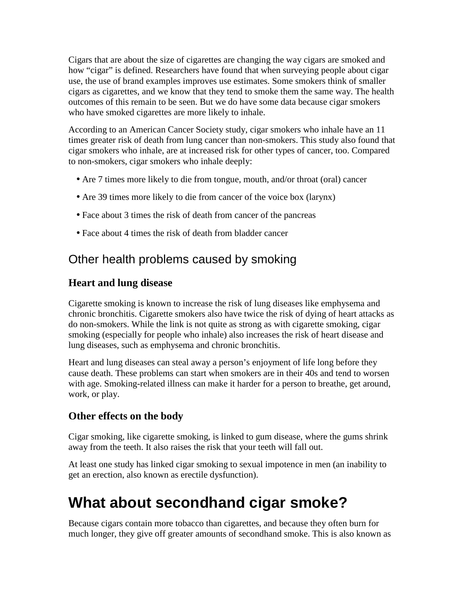Cigars that are about the size of cigarettes are changing the way cigars are smoked and how "cigar" is defined. Researchers have found that when surveying people about cigar use, the use of brand examples improves use estimates. Some smokers think of smaller cigars as cigarettes, and we know that they tend to smoke them the same way. The health outcomes of this remain to be seen. But we do have some data because cigar smokers who have smoked cigarettes are more likely to inhale.

According to an American Cancer Society study, cigar smokers who inhale have an 11 times greater risk of death from lung cancer than non-smokers. This study also found that cigar smokers who inhale, are at increased risk for other types of cancer, too. Compared to non-smokers, cigar smokers who inhale deeply:

- Are 7 times more likely to die from tongue, mouth, and/or throat (oral) cancer
- Are 39 times more likely to die from cancer of the voice box (larynx)
- Face about 3 times the risk of death from cancer of the pancreas
- Face about 4 times the risk of death from bladder cancer

### Other health problems caused by smoking

### **Heart and lung disease**

Cigarette smoking is known to increase the risk of lung diseases like emphysema and chronic bronchitis. Cigarette smokers also have twice the risk of dying of heart attacks as do non-smokers. While the link is not quite as strong as with cigarette smoking, cigar smoking (especially for people who inhale) also increases the risk of heart disease and lung diseases, such as emphysema and chronic bronchitis.

Heart and lung diseases can steal away a person's enjoyment of life long before they cause death. These problems can start when smokers are in their 40s and tend to worsen with age. Smoking-related illness can make it harder for a person to breathe, get around, work, or play.

### **Other effects on the body**

Cigar smoking, like cigarette smoking, is linked to gum disease, where the gums shrink away from the teeth. It also raises the risk that your teeth will fall out.

At least one study has linked cigar smoking to sexual impotence in men (an inability to get an erection, also known as erectile dysfunction).

## **What about secondhand cigar smoke?**

Because cigars contain more tobacco than cigarettes, and because they often burn for much longer, they give off greater amounts of secondhand smoke. This is also known as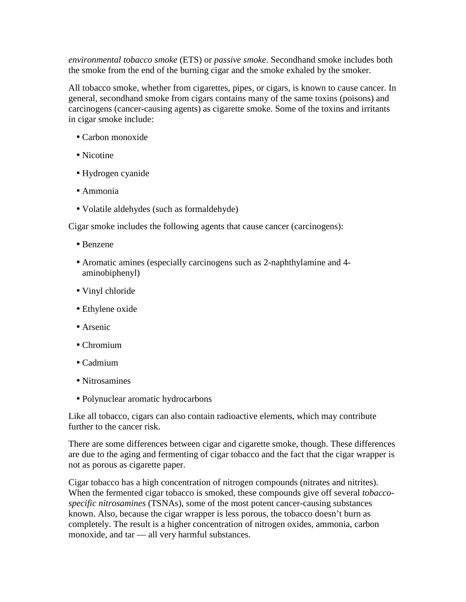*environmental tobacco smoke* (ETS) or *passive smoke*. Secondhand smoke includes both the smoke from the end of the burning cigar and the smoke exhaled by the smoker.

All tobacco smoke, whether from cigarettes, pipes, or cigars, is known to cause cancer. In general, secondhand smoke from cigars contains many of the same toxins (poisons) and carcinogens (cancer-causing agents) as cigarette smoke. Some of the toxins and irritants in cigar smoke include:

- Carbon monoxide
- Nicotine
- Hydrogen cyanide
- Ammonia
- Volatile aldehydes (such as formaldehyde)

Cigar smoke includes the following agents that cause cancer (carcinogens):

- Benzene
- Aromatic amines (especially carcinogens such as 2-naphthylamine and 4 aminobiphenyl)
- Vinyl chloride
- Ethylene oxide
- Arsenic
- Chromium
- Cadmium
- Nitrosamines
- Polynuclear aromatic hydrocarbons

Like all tobacco, cigars can also contain radioactive elements, which may contribute further to the cancer risk.

There are some differences between cigar and cigarette smoke, though. These differences are due to the aging and fermenting of cigar tobacco and the fact that the cigar wrapper is not as porous as cigarette paper.

Cigar tobacco has a high concentration of nitrogen compounds (nitrates and nitrites). When the fermented cigar tobacco is smoked, these compounds give off several *tobaccospecific nitrosamines* (TSNAs), some of the most potent cancer-causing substances known. Also, because the cigar wrapper is less porous, the tobacco doesn't burn as completely. The result is a higher concentration of nitrogen oxides, ammonia, carbon monoxide, and tar — all very harmful substances.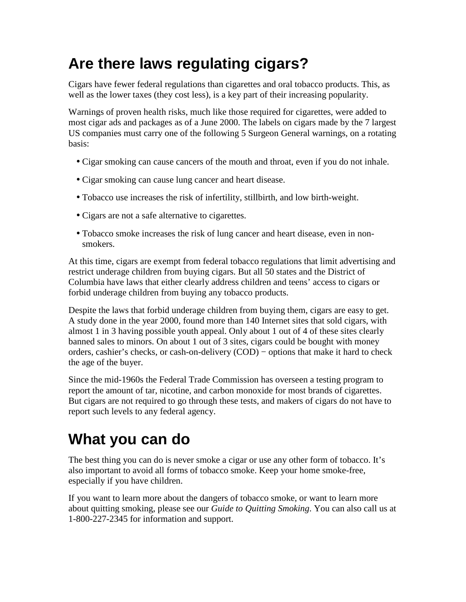## **Are there laws regulating cigars?**

Cigars have fewer federal regulations than cigarettes and oral tobacco products. This, as well as the lower taxes (they cost less), is a key part of their increasing popularity.

Warnings of proven health risks, much like those required for cigarettes, were added to most cigar ads and packages as of a June 2000. The labels on cigars made by the 7 largest US companies must carry one of the following 5 Surgeon General warnings, on a rotating basis:

- Cigar smoking can cause cancers of the mouth and throat, even if you do not inhale.
- Cigar smoking can cause lung cancer and heart disease.
- Tobacco use increases the risk of infertility, stillbirth, and low birth-weight.
- Cigars are not a safe alternative to cigarettes.
- Tobacco smoke increases the risk of lung cancer and heart disease, even in nonsmokers.

At this time, cigars are exempt from federal tobacco regulations that limit advertising and restrict underage children from buying cigars. But all 50 states and the District of Columbia have laws that either clearly address children and teens' access to cigars or forbid underage children from buying any tobacco products.

Despite the laws that forbid underage children from buying them, cigars are easy to get. A study done in the year 2000, found more than 140 Internet sites that sold cigars, with almost 1 in 3 having possible youth appeal. Only about 1 out of 4 of these sites clearly banned sales to minors. On about 1 out of 3 sites, cigars could be bought with money orders, cashier's checks, or cash-on-delivery (COD) − options that make it hard to check the age of the buyer.

Since the mid-1960s the Federal Trade Commission has overseen a testing program to report the amount of tar, nicotine, and carbon monoxide for most brands of cigarettes. But cigars are not required to go through these tests, and makers of cigars do not have to report such levels to any federal agency.

## **What you can do**

The best thing you can do is never smoke a cigar or use any other form of tobacco. It's also important to avoid all forms of tobacco smoke. Keep your home smoke-free, especially if you have children.

If you want to learn more about the dangers of tobacco smoke, or want to learn more about quitting smoking, please see our *Guide to Quitting Smoking*. You can also call us at 1-800-227-2345 for information and support.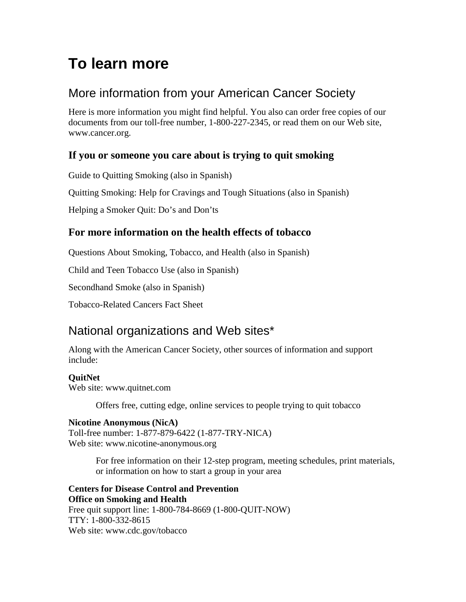## **To learn more**

### More information from your American Cancer Society

Here is more information you might find helpful. You also can order free copies of our documents from our toll-free number, 1-800-227-2345, or read them on our Web site, www.cancer.org.

#### **If you or someone you care about is trying to quit smoking**

Guide to Quitting Smoking (also in Spanish)

Quitting Smoking: Help for Cravings and Tough Situations (also in Spanish)

Helping a Smoker Quit: Do's and Don'ts

#### **For more information on the health effects of tobacco**

Questions About Smoking, Tobacco, and Health (also in Spanish)

Child and Teen Tobacco Use (also in Spanish)

Secondhand Smoke (also in Spanish)

Tobacco-Related Cancers Fact Sheet

### National organizations and Web sites\*

Along with the American Cancer Society, other sources of information and support include:

#### **QuitNet**

Web site: www.quitnet.com

Offers free, cutting edge, online services to people trying to quit tobacco

#### **Nicotine Anonymous (NicA)**

Toll-free number: 1-877-879-6422 (1-877-TRY-NICA) Web site: www.nicotine-anonymous.org

> For free information on their 12-step program, meeting schedules, print materials, or information on how to start a group in your area

#### **Centers for Disease Control and Prevention Office on Smoking and Health** Free quit support line: 1-800-784-8669 (1-800-QUIT-NOW) TTY: 1-800-332-8615 Web site: www.cdc.gov/tobacco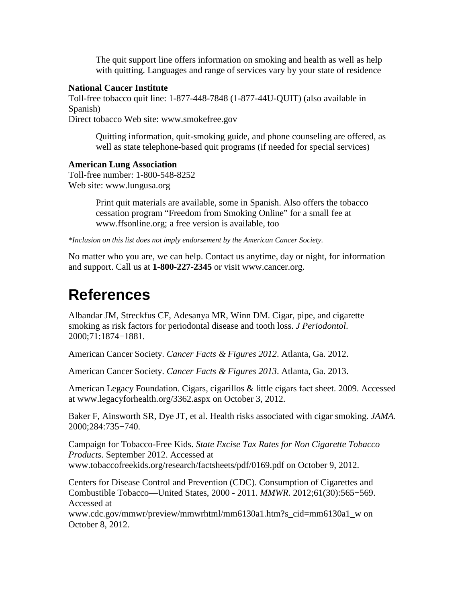The quit support line offers information on smoking and health as well as help with quitting. Languages and range of services vary by your state of residence

#### **National Cancer Institute**

Toll-free tobacco quit line: 1-877-448-7848 (1-877-44U-QUIT) (also available in Spanish)

Direct tobacco Web site: www.smokefree.gov

Quitting information, quit-smoking guide, and phone counseling are offered, as well as state telephone-based quit programs (if needed for special services)

#### **American Lung Association**

Toll-free number: 1-800-548-8252 Web site: www.lungusa.org

> Print quit materials are available, some in Spanish. Also offers the tobacco cessation program "Freedom from Smoking Online" for a small fee at www.ffsonline.org; a free version is available, too

*\*Inclusion on this list does not imply endorsement by the American Cancer Society.* 

No matter who you are, we can help. Contact us anytime, day or night, for information and support. Call us at **1-800-227-2345** or visit www.cancer.org.

### **References**

Albandar JM, Streckfus CF, Adesanya MR, Winn DM. Cigar, pipe, and cigarette smoking as risk factors for periodontal disease and tooth loss. *J Periodontol*. 2000;71:1874−1881.

American Cancer Society. *Cancer Facts & Figures 2012*. Atlanta, Ga. 2012.

American Cancer Society. *Cancer Facts & Figures 2013*. Atlanta, Ga. 2013.

American Legacy Foundation. Cigars, cigarillos & little cigars fact sheet. 2009. Accessed at www.legacyforhealth.org/3362.aspx on October 3, 2012.

Baker F, Ainsworth SR, Dye JT, et al. Health risks associated with cigar smoking. *JAMA*. 2000;284:735−740.

Campaign for Tobacco-Free Kids. *State Excise Tax Rates for Non Cigarette Tobacco Products*. September 2012. Accessed at www.tobaccofreekids.org/research/factsheets/pdf/0169.pdf on October 9, 2012.

Centers for Disease Control and Prevention (CDC). Consumption of Cigarettes and Combustible Tobacco—United States, 2000 - 2011. *MMWR*. 2012;61(30):565−569. Accessed at

www.cdc.gov/mmwr/preview/mmwrhtml/mm6130a1.htm?s\_cid=mm6130a1\_w on October 8, 2012.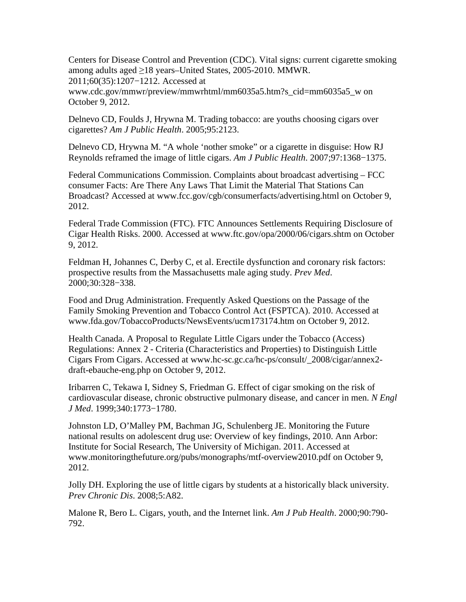Centers for Disease Control and Prevention (CDC). Vital signs: current cigarette smoking among adults aged ≥18 years–United States, 2005-2010. MMWR. 2011;60(35):1207−1212. Accessed at

www.cdc.gov/mmwr/preview/mmwrhtml/mm6035a5.htm?s\_cid=mm6035a5\_w on October 9, 2012.

Delnevo CD, Foulds J, Hrywna M. Trading tobacco: are youths choosing cigars over cigarettes? *Am J Public Health*. 2005;95:2123.

Delnevo CD, Hrywna M. "A whole 'nother smoke" or a cigarette in disguise: How RJ Reynolds reframed the image of little cigars. *Am J Public Health*. 2007;97:1368−1375.

Federal Communications Commission. Complaints about broadcast advertising – FCC consumer Facts: Are There Any Laws That Limit the Material That Stations Can Broadcast? Accessed at www.fcc.gov/cgb/consumerfacts/advertising.html on October 9, 2012.

Federal Trade Commission (FTC). FTC Announces Settlements Requiring Disclosure of Cigar Health Risks. 2000. Accessed at www.ftc.gov/opa/2000/06/cigars.shtm on October 9, 2012.

Feldman H, Johannes C, Derby C, et al. Erectile dysfunction and coronary risk factors: prospective results from the Massachusetts male aging study. *Prev Med*. 2000;30:328−338.

Food and Drug Administration. Frequently Asked Questions on the Passage of the Family Smoking Prevention and Tobacco Control Act (FSPTCA). 2010. Accessed at www.fda.gov/TobaccoProducts/NewsEvents/ucm173174.htm on October 9, 2012.

Health Canada. A Proposal to Regulate Little Cigars under the Tobacco (Access) Regulations: Annex 2 - Criteria (Characteristics and Properties) to Distinguish Little Cigars From Cigars. Accessed at www.hc-sc.gc.ca/hc-ps/consult/\_2008/cigar/annex2 draft-ebauche-eng.php on October 9, 2012.

Iribarren C, Tekawa I, Sidney S, Friedman G. Effect of cigar smoking on the risk of cardiovascular disease, chronic obstructive pulmonary disease, and cancer in men. *N Engl J Med*. 1999;340:1773−1780.

Johnston LD, O'Malley PM, Bachman JG, Schulenberg JE. Monitoring the Future national results on adolescent drug use: Overview of key findings, 2010. Ann Arbor: Institute for Social Research, The University of Michigan. 2011. Accessed at www.monitoringthefuture.org/pubs/monographs/mtf-overview2010.pdf on October 9, 2012.

Jolly DH. Exploring the use of little cigars by students at a historically black university. *Prev Chronic Dis*. 2008;5:A82.

Malone R, Bero L. Cigars, youth, and the Internet link. *Am J Pub Health*. 2000;90:790- 792.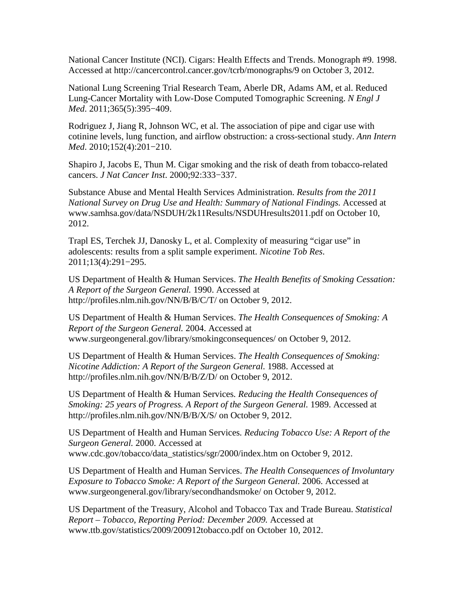National Cancer Institute (NCI). Cigars: Health Effects and Trends. Monograph #9. 1998. Accessed at http://cancercontrol.cancer.gov/tcrb/monographs/9 on October 3, 2012.

National Lung Screening Trial Research Team, Aberle DR, Adams AM, et al. Reduced Lung-Cancer Mortality with Low-Dose Computed Tomographic Screening. *N Engl J Med*. 2011;365(5):395−409.

Rodriguez J, Jiang R, Johnson WC, et al. The association of pipe and cigar use with cotinine levels, lung function, and airflow obstruction: a cross-sectional study. *Ann Intern Med*. 2010;152(4):201−210.

Shapiro J, Jacobs E, Thun M. Cigar smoking and the risk of death from tobacco-related cancers. *J Nat Cancer Inst*. 2000;92:333−337.

Substance Abuse and Mental Health Services Administration. *Results from the 2011 National Survey on Drug Use and Health: Summary of National Findings.* Accessed at www.samhsa.gov/data/NSDUH/2k11Results/NSDUHresults2011.pdf on October 10, 2012.

Trapl ES, Terchek JJ, Danosky L, et al. Complexity of measuring "cigar use" in adolescents: results from a split sample experiment. *Nicotine Tob Res*. 2011;13(4):291−295.

US Department of Health & Human Services. *The Health Benefits of Smoking Cessation: A Report of the Surgeon General.* 1990. Accessed at http://profiles.nlm.nih.gov/NN/B/B/C/T/ on October 9, 2012.

US Department of Health & Human Services. *The Health Consequences of Smoking: A Report of the Surgeon General.* 2004. Accessed at www.surgeongeneral.gov/library/smokingconsequences/ on October 9, 2012.

US Department of Health & Human Services. *The Health Consequences of Smoking: Nicotine Addiction: A Report of the Surgeon General.* 1988. Accessed at http://profiles.nlm.nih.gov/NN/B/B/Z/D/ on October 9, 2012.

US Department of Health & Human Services*. Reducing the Health Consequences of Smoking: 25 years of Progress. A Report of the Surgeon General.* 1989. Accessed at http://profiles.nlm.nih.gov/NN/B/B/X/S/ on October 9, 2012.

US Department of Health and Human Services*. Reducing Tobacco Use: A Report of the Surgeon General.* 2000. Accessed at www.cdc.gov/tobacco/data\_statistics/sgr/2000/index.htm on October 9, 2012.

US Department of Health and Human Services. *The Health Consequences of Involuntary Exposure to Tobacco Smoke: A Report of the Surgeon General.* 2006. Accessed at www.surgeongeneral.gov/library/secondhandsmoke/ on October 9, 2012.

US Department of the Treasury, Alcohol and Tobacco Tax and Trade Bureau. *Statistical Report – Tobacco, Reporting Period: December 2009.* Accessed at www.ttb.gov/statistics/2009/200912tobacco.pdf on October 10, 2012.